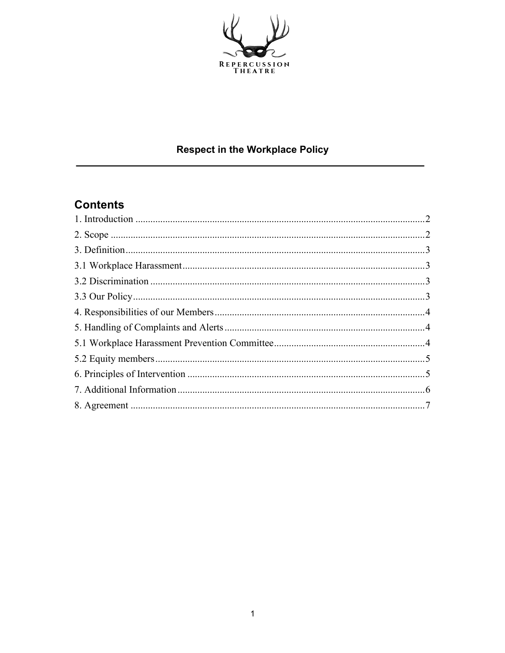

## **Respect in the Workplace Policy**

# **Contents**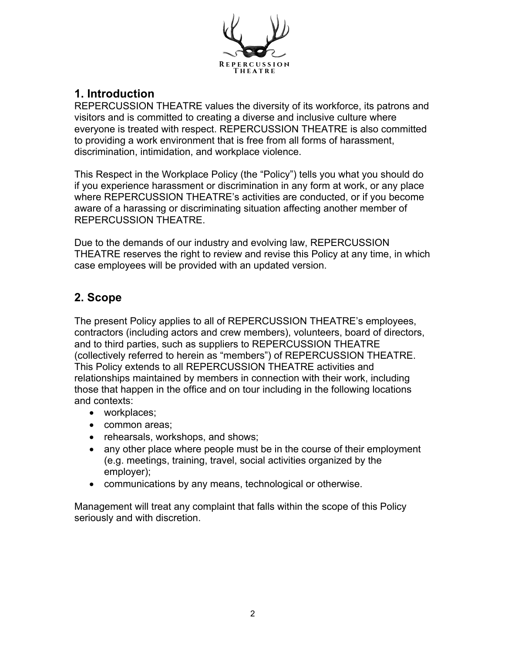

## **1. Introduction**

REPERCUSSION THEATRE values the diversity of its workforce, its patrons and visitors and is committed to creating a diverse and inclusive culture where everyone is treated with respect. REPERCUSSION THEATRE is also committed to providing a work environment that is free from all forms of harassment, discrimination, intimidation, and workplace violence.

This Respect in the Workplace Policy (the "Policy") tells you what you should do if you experience harassment or discrimination in any form at work, or any place where REPERCUSSION THEATRE's activities are conducted, or if you become aware of a harassing or discriminating situation affecting another member of REPERCUSSION THEATRE.

Due to the demands of our industry and evolving law, REPERCUSSION THEATRE reserves the right to review and revise this Policy at any time, in which case employees will be provided with an updated version.

#### **2. Scope**

The present Policy applies to all of REPERCUSSION THEATRE's employees, contractors (including actors and crew members), volunteers, board of directors, and to third parties, such as suppliers to REPERCUSSION THEATRE (collectively referred to herein as "members") of REPERCUSSION THEATRE. This Policy extends to all REPERCUSSION THEATRE activities and relationships maintained by members in connection with their work, including those that happen in the office and on tour including in the following locations and contexts:

- workplaces;
- common areas;
- rehearsals, workshops, and shows;
- any other place where people must be in the course of their employment (e.g. meetings, training, travel, social activities organized by the employer);
- communications by any means, technological or otherwise.

Management will treat any complaint that falls within the scope of this Policy seriously and with discretion.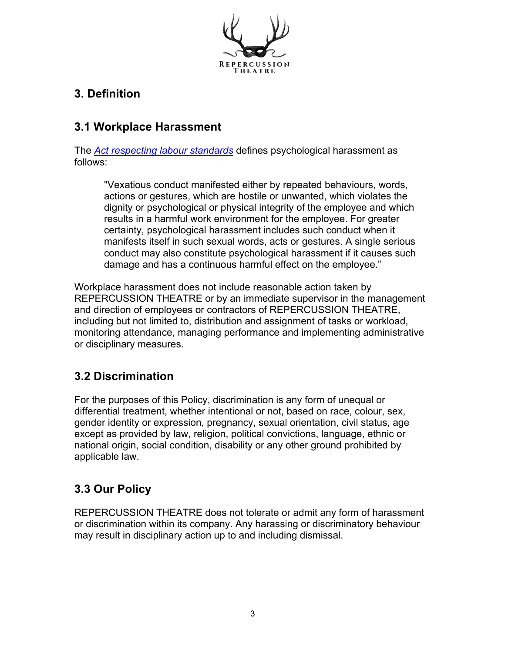

## **3. Definition**

### **3.1 Workplace Harassment**

The *Act respecting labour standards* defines psychological harassment as follows:

"Vexatious conduct manifested either by repeated behaviours, words, actions or gestures, which are hostile or unwanted, which violates the dignity or psychological or physical integrity of the employee and which results in a harmful work environment for the employee. For greater certainty, psychological harassment includes such conduct when it manifests itself in such sexual words, acts or gestures. A single serious conduct may also constitute psychological harassment if it causes such damage and has a continuous harmful effect on the employee."

Workplace harassment does not include reasonable action taken by REPERCUSSION THEATRE or by an immediate supervisor in the management and direction of employees or contractors of REPERCUSSION THEATRE, including but not limited to, distribution and assignment of tasks or workload, monitoring attendance, managing performance and implementing administrative or disciplinary measures.

## **3.2 Discrimination**

For the purposes of this Policy, discrimination is any form of unequal or differential treatment, whether intentional or not, based on race, colour, sex, gender identity or expression, pregnancy, sexual orientation, civil status, age except as provided by law, religion, political convictions, language, ethnic or national origin, social condition, disability or any other ground prohibited by applicable law.

## **3.3 Our Policy**

REPERCUSSION THEATRE does not tolerate or admit any form of harassment or discrimination within its company. Any harassing or discriminatory behaviour may result in disciplinary action up to and including dismissal.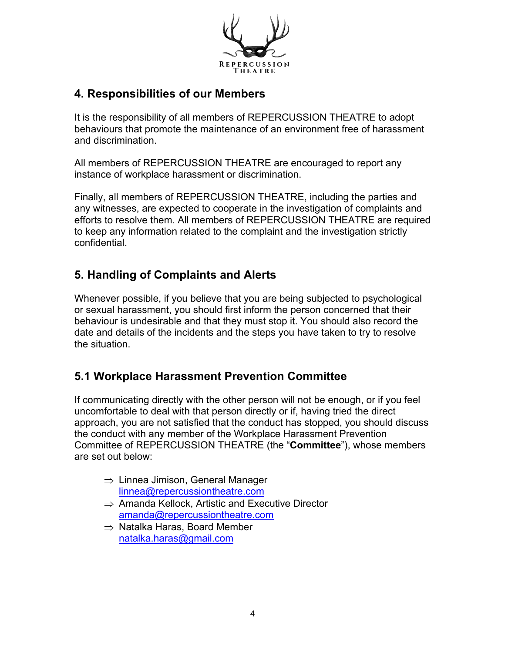

#### **4. Responsibilities of our Members**

It is the responsibility of all members of REPERCUSSION THEATRE to adopt behaviours that promote the maintenance of an environment free of harassment and discrimination.

All members of REPERCUSSION THEATRE are encouraged to report any instance of workplace harassment or discrimination.

Finally, all members of REPERCUSSION THEATRE, including the parties and any witnesses, are expected to cooperate in the investigation of complaints and efforts to resolve them. All members of REPERCUSSION THEATRE are required to keep any information related to the complaint and the investigation strictly confidential.

## **5. Handling of Complaints and Alerts**

Whenever possible, if you believe that you are being subjected to psychological or sexual harassment, you should first inform the person concerned that their behaviour is undesirable and that they must stop it. You should also record the date and details of the incidents and the steps you have taken to try to resolve the situation.

## **5.1 Workplace Harassment Prevention Committee**

If communicating directly with the other person will not be enough, or if you feel uncomfortable to deal with that person directly or if, having tried the direct approach, you are not satisfied that the conduct has stopped, you should discuss the conduct with any member of the Workplace Harassment Prevention Committee of REPERCUSSION THEATRE (the "**Committee**"), whose members are set out below:

- $\Rightarrow$  Linnea Jimison, General Manager linnea@repercussiontheatre.com
- $\Rightarrow$  Amanda Kellock, Artistic and Executive Director amanda@repercussiontheatre.com
- $\Rightarrow$  Natalka Haras, Board Member natalka.haras@gmail.com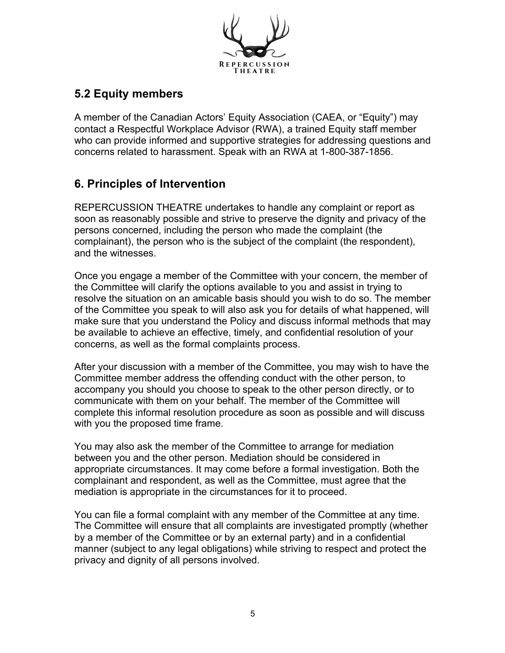

## **5.2 Equity members**

A member of the Canadian Actors' Equity Association (CAEA, or "Equity") may contact a Respectful Workplace Advisor (RWA), a trained Equity staff member who can provide informed and supportive strategies for addressing questions and concerns related to harassment. Speak with an RWA at 1-800-387-1856.

#### **6. Principles of Intervention**

REPERCUSSION THEATRE undertakes to handle any complaint or report as soon as reasonably possible and strive to preserve the dignity and privacy of the persons concerned, including the person who made the complaint (the complainant), the person who is the subject of the complaint (the respondent), and the witnesses.

Once you engage a member of the Committee with your concern, the member of the Committee will clarify the options available to you and assist in trying to resolve the situation on an amicable basis should you wish to do so. The member of the Committee you speak to will also ask you for details of what happened, will make sure that you understand the Policy and discuss informal methods that may be available to achieve an effective, timely, and confidential resolution of your concerns, as well as the formal complaints process.

After your discussion with a member of the Committee, you may wish to have the Committee member address the offending conduct with the other person, to accompany you should you choose to speak to the other person directly, or to communicate with them on your behalf. The member of the Committee will complete this informal resolution procedure as soon as possible and will discuss with you the proposed time frame.

You may also ask the member of the Committee to arrange for mediation between you and the other person. Mediation should be considered in appropriate circumstances. It may come before a formal investigation. Both the complainant and respondent, as well as the Committee, must agree that the mediation is appropriate in the circumstances for it to proceed.

You can file a formal complaint with any member of the Committee at any time. The Committee will ensure that all complaints are investigated promptly (whether by a member of the Committee or by an external party) and in a confidential manner (subject to any legal obligations) while striving to respect and protect the privacy and dignity of all persons involved.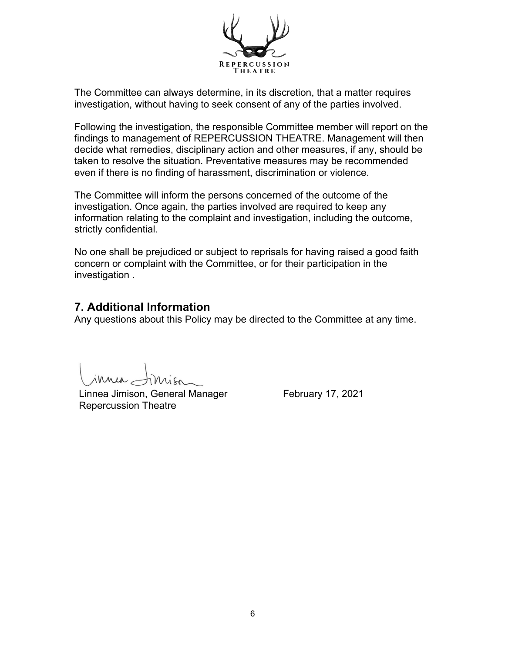

The Committee can always determine, in its discretion, that a matter requires investigation, without having to seek consent of any of the parties involved.

Following the investigation, the responsible Committee member will report on the findings to management of REPERCUSSION THEATRE. Management will then decide what remedies, disciplinary action and other measures, if any, should be taken to resolve the situation. Preventative measures may be recommended even if there is no finding of harassment, discrimination or violence.

The Committee will inform the persons concerned of the outcome of the investigation. Once again, the parties involved are required to keep any information relating to the complaint and investigation, including the outcome, strictly confidential.

No one shall be prejudiced or subject to reprisals for having raised a good faith concern or complaint with the Committee, or for their participation in the investigation .

#### **7. Additional Information**

Any questions about this Policy may be directed to the Committee at any time.

innia -

Linnea Jimison, General Manager February 17, 2021 Repercussion Theatre